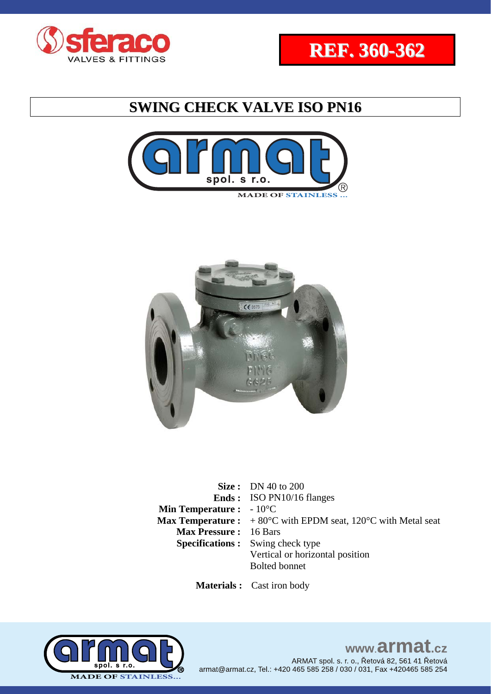





**Size :** DN 40 to 200 **Ends :**  ISO PN10/16 flanges **Min Temperature :** - 10<sup>°</sup>C **Max Temperature :**  $+80^{\circ}$ C with EPDM seat, 120<sup>o</sup>C with Metal seat **Max Pressure :** 16 Bars **Specifications :** Swing check type Vertical or horizontal position Bolted bonnet

 **Materials :** Cast iron body

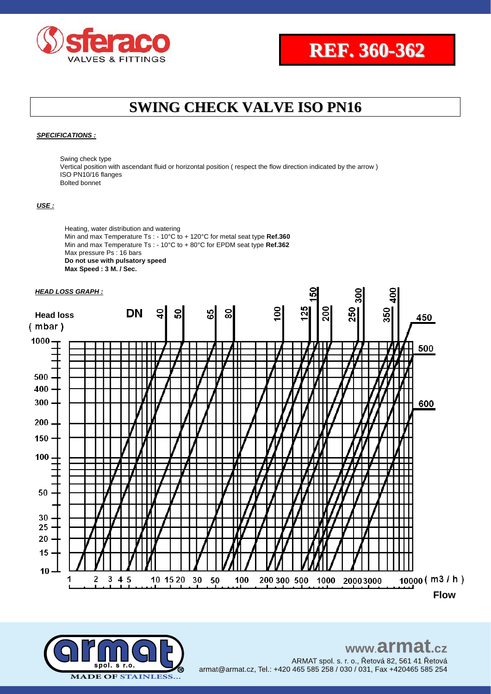

#### *SPECIFICATIONS :*

Swing check type Vertical position with ascendant fluid or horizontal position ( respect the flow direction indicated by the arrow ) ISO PN10/16 flanges Bolted bonnet

#### *USE :*

Heating, water distribution and watering Min and max Temperature Ts : - 10°C to + 120°C for metal seat type **Ref.360** Min and max Temperature Ts : - 10°C to + 80°C for EPDM seat type **Ref.362** Max pressure Ps : 16 bars **Do not use with pulsatory speed Max Speed : 3 M. / Sec.**



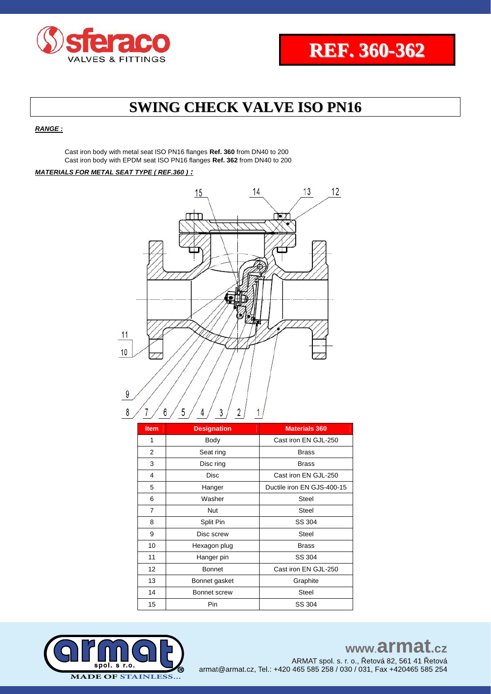

*RANGE :*

Cast iron body with metal seat ISO PN16 flanges **Ref. 360** from DN40 to 200 Cast iron body with EPDM seat ISO PN16 flanges **Ref. 362** from DN40 to 200

#### *MATERIALS FOR METAL SEAT TYPE ( REF.360 ) :*



| <b>Item</b>    | <b>Designation</b> | <b>Materials 360</b>       |  |  |  |
|----------------|--------------------|----------------------------|--|--|--|
| 1              | Body               | Cast iron EN GJL-250       |  |  |  |
| $\overline{2}$ | Seat ring          | <b>Brass</b>               |  |  |  |
| 3              | Disc ring          | <b>Brass</b>               |  |  |  |
| 4              | <b>Disc</b>        | Cast iron EN GJL-250       |  |  |  |
| 5              | Hanger             | Ductile iron EN GJS-400-15 |  |  |  |
| 6              | Washer             | <b>Steel</b>               |  |  |  |
| $\overline{7}$ | Nut                | Steel                      |  |  |  |
| 8              | Split Pin          | SS 304                     |  |  |  |
| 9              | Disc screw         | <b>Steel</b>               |  |  |  |
| 10             | Hexagon plug       | <b>Brass</b>               |  |  |  |
| 11             | Hanger pin         | SS 304                     |  |  |  |
| 12             | <b>Bonnet</b>      | Cast iron EN GJL-250       |  |  |  |
| 13             | Bonnet gasket      | Graphite                   |  |  |  |
| 14             | Bonnet screw       | <b>Steel</b>               |  |  |  |
| 15             | Pin                | SS 304                     |  |  |  |

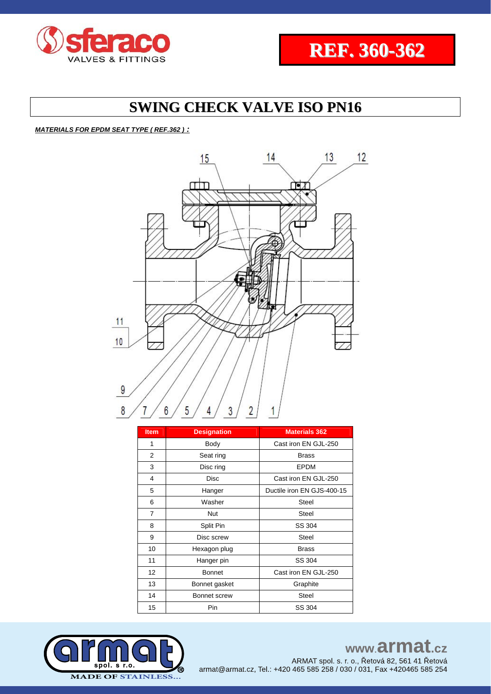

#### *MATERIALS FOR EPDM SEAT TYPE ( REF.362 ) :*



| <b>Item</b> | <b>Designation</b> | <b>Materials 362</b>       |  |  |  |
|-------------|--------------------|----------------------------|--|--|--|
| 1           | Body               | Cast iron EN GJL-250       |  |  |  |
| 2           | Seat ring          | <b>Brass</b>               |  |  |  |
| 3           | Disc ring          | <b>EPDM</b>                |  |  |  |
| 4           | <b>Disc</b>        | Cast iron EN GJL-250       |  |  |  |
| 5           | Hanger             | Ductile iron EN GJS-400-15 |  |  |  |
| 6           | Washer             | <b>Steel</b>               |  |  |  |
| 7           | Nut                | Steel                      |  |  |  |
| 8           | Split Pin          | SS 304                     |  |  |  |
| 9           | Disc screw         | <b>Steel</b>               |  |  |  |
| 10          | Hexagon plug       | <b>Brass</b>               |  |  |  |
| 11          | Hanger pin         | SS 304                     |  |  |  |
| 12          | <b>Bonnet</b>      | Cast iron EN GJL-250       |  |  |  |
| 13          | Bonnet gasket      | Graphite                   |  |  |  |
| 14          | Bonnet screw       | <b>Steel</b>               |  |  |  |
| 15          | Pin                | SS 304                     |  |  |  |



## www.armat.cz ARMAT spol. s. r. o., Řetová 82, 561 41 Řetová

armat@armat.cz, Tel.: +420 465 585 258 / 030 / 031, Fax +420465 585 254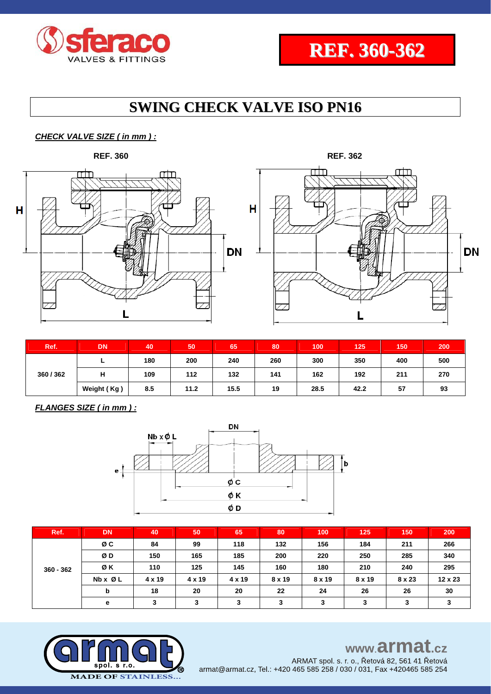

**DN** 

# **SWING CHECK VALVE ISO PN16**

## *CHECK VALVE SIZE ( in mm ) :*



| Ref.    | <b>DN</b>   | 40  | 50   | 65   | 80  | 100  | 125  | 150 | 200 |
|---------|-------------|-----|------|------|-----|------|------|-----|-----|
| 360/362 | -           | 180 | 200  | 240  | 260 | 300  | 350  | 400 | 500 |
|         | н           | 109 | 112  | 132  | 141 | 162  | 192  | 211 | 270 |
|         | Weight (Kg) | 8.5 | 11.2 | 15.5 | 19  | 28.5 | 42.2 | 57  | 93  |

*FLANGES SIZE ( in mm ) :*



| Ref.        | <b>DN</b> | 40     | 50 <sup>1</sup> | 65     | 80            | 100    | 125    | 150    | 200     |
|-------------|-----------|--------|-----------------|--------|---------------|--------|--------|--------|---------|
| $360 - 362$ | øс        | 84     | 99              | 118    | 132           | 156    | 184    | 211    | 266     |
|             | ØD        | 150    | 165             | 185    | 200           | 220    | 250    | 285    | 340     |
|             | ØΚ        | 110    | 125             | 145    | 160           | 180    | 210    | 240    | 295     |
|             | Nb x Ø L  | 4 x 19 | 4 x 19          | 4 x 19 | $8 \times 19$ | 8 x 19 | 8 x 19 | 8 x 23 | 12 x 23 |
|             | b         | 18     | 20              | 20     | 22            | 24     | 26     | 26     | 30      |
|             | e         | 3      | 3               | 3      | 3             | 3      | 3      | 3      |         |



## www.armat.cz

ARMAT spol. s. r. o., Řetová 82, 561 41 Řetová armat@armat.cz, Tel.: +420 465 585 258 / 030 / 031, Fax +420465 585 254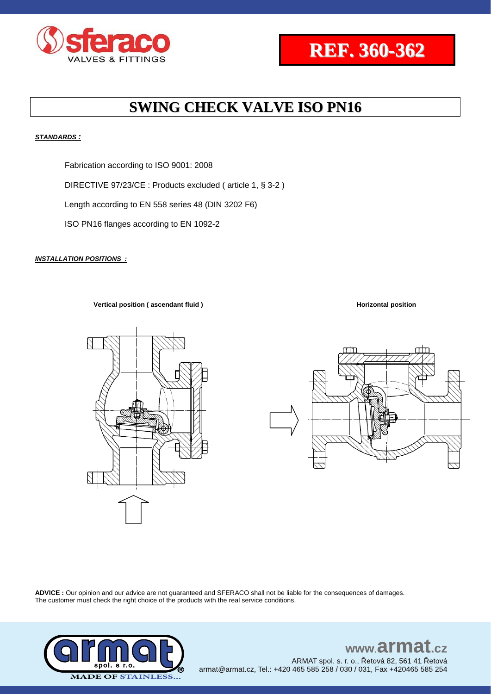

#### *STANDARDS :*

Fabrication according to ISO 9001: 2008

DIRECTIVE 97/23/CE : Products excluded ( article 1, § 3-2 )

Length according to EN 558 series 48 (DIN 3202 F6)

ISO PN16 flanges according to EN 1092-2

#### *INSTALLATION POSITIONS :*

**Vertical position ( ascendant fluid ) Horizontal position Horizontal position** 



**ADVICE :** Our opinion and our advice are not guaranteed and SFERACO shall not be liable for the consequences of damages. The customer must check the right choice of the products with the real service conditions.



## www.armat.cz ARMAT spol. s. r. o., Řetová 82, 561 41 Řetová

armat@armat.cz, Tel.: +420 465 585 258 / 030 / 031, Fax +420465 585 254